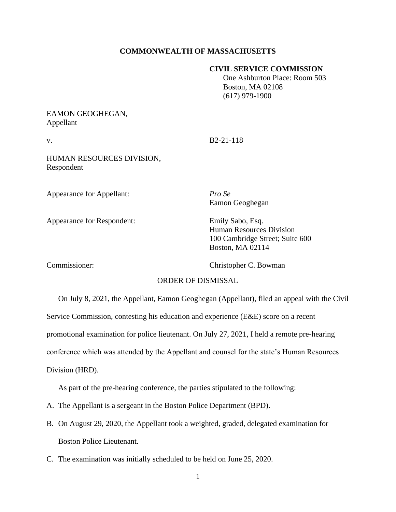### **COMMONWEALTH OF MASSACHUSETTS**

#### **CIVIL SERVICE COMMISSION**

 One Ashburton Place: Room 503 Boston, MA 02108 (617) 979-1900

## EAMON GEOGHEGAN, Appellant

v. B2-21-118

HUMAN RESOURCES DIVISION, Respondent

Appearance for Appellant: *Pro Se*

Appearance for Respondent: Emily Sabo, Esq.

Eamon Geoghegan

Human Resources Division 100 Cambridge Street; Suite 600 Boston, MA 02114

Commissioner: Christopher C. Bowman

#### ORDER OF DISMISSAL

On July 8, 2021, the Appellant, Eamon Geoghegan (Appellant), filed an appeal with the Civil Service Commission, contesting his education and experience (E&E) score on a recent promotional examination for police lieutenant. On July 27, 2021, I held a remote pre-hearing conference which was attended by the Appellant and counsel for the state's Human Resources Division (HRD).

As part of the pre-hearing conference, the parties stipulated to the following:

- A. The Appellant is a sergeant in the Boston Police Department (BPD).
- B. On August 29, 2020, the Appellant took a weighted, graded, delegated examination for Boston Police Lieutenant.
- C. The examination was initially scheduled to be held on June 25, 2020.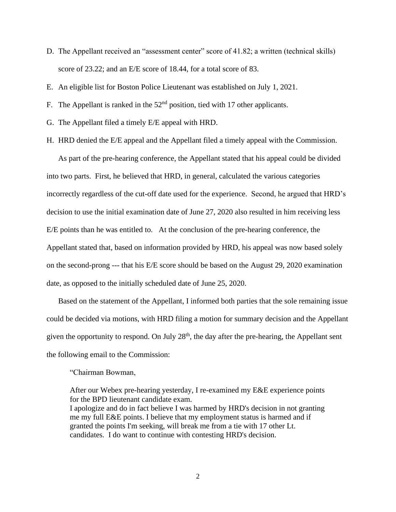- D. The Appellant received an "assessment center" score of 41.82; a written (technical skills) score of 23.22; and an E/E score of 18.44, for a total score of 83.
- E. An eligible list for Boston Police Lieutenant was established on July 1, 2021.
- F. The Appellant is ranked in the  $52<sup>nd</sup>$  position, tied with 17 other applicants.
- G. The Appellant filed a timely E/E appeal with HRD.
- H. HRD denied the E/E appeal and the Appellant filed a timely appeal with the Commission.

As part of the pre-hearing conference, the Appellant stated that his appeal could be divided into two parts. First, he believed that HRD, in general, calculated the various categories incorrectly regardless of the cut-off date used for the experience. Second, he argued that HRD's decision to use the initial examination date of June 27, 2020 also resulted in him receiving less E/E points than he was entitled to. At the conclusion of the pre-hearing conference, the Appellant stated that, based on information provided by HRD, his appeal was now based solely on the second-prong --- that his E/E score should be based on the August 29, 2020 examination date, as opposed to the initially scheduled date of June 25, 2020.

Based on the statement of the Appellant, I informed both parties that the sole remaining issue could be decided via motions, with HRD filing a motion for summary decision and the Appellant given the opportunity to respond. On July  $28<sup>th</sup>$ , the day after the pre-hearing, the Appellant sent the following email to the Commission:

#### "Chairman Bowman,

After our Webex pre-hearing yesterday, I re-examined my E&E experience points for the BPD lieutenant candidate exam. I apologize and do in fact believe I was harmed by HRD's decision in not granting me my full E&E points. I believe that my employment status is harmed and if granted the points I'm seeking, will break me from a tie with 17 other Lt. candidates. I do want to continue with contesting HRD's decision.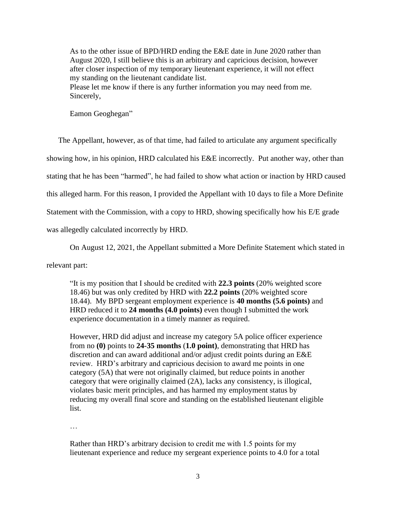As to the other issue of BPD/HRD ending the E&E date in June 2020 rather than August 2020, I still believe this is an arbitrary and capricious decision, however after closer inspection of my temporary lieutenant experience, it will not effect my standing on the lieutenant candidate list. Please let me know if there is any further information you may need from me. Sincerely,

Eamon Geoghegan"

The Appellant, however, as of that time, had failed to articulate any argument specifically showing how, in his opinion, HRD calculated his E&E incorrectly. Put another way, other than stating that he has been "harmed", he had failed to show what action or inaction by HRD caused this alleged harm. For this reason, I provided the Appellant with 10 days to file a More Definite Statement with the Commission, with a copy to HRD, showing specifically how his E/E grade was allegedly calculated incorrectly by HRD.

On August 12, 2021, the Appellant submitted a More Definite Statement which stated in

relevant part:

"It is my position that I should be credited with **22.3 points** (20% weighted score 18.46) but was only credited by HRD with **22.2 points** (20% weighted score 18.44). My BPD sergeant employment experience is **40 months (5.6 points)** and HRD reduced it to **24 months (4.0 points)** even though I submitted the work experience documentation in a timely manner as required.

However, HRD did adjust and increase my category 5A police officer experience from no **(0)** points to **24-35 months** (**1.0 point)**, demonstrating that HRD has discretion and can award additional and/or adjust credit points during an E&E review. HRD's arbitrary and capricious decision to award me points in one category (5A) that were not originally claimed, but reduce points in another category that were originally claimed (2A), lacks any consistency, is illogical, violates basic merit principles, and has harmed my employment status by reducing my overall final score and standing on the established lieutenant eligible list.

…

Rather than HRD's arbitrary decision to credit me with 1.5 points for my lieutenant experience and reduce my sergeant experience points to 4.0 for a total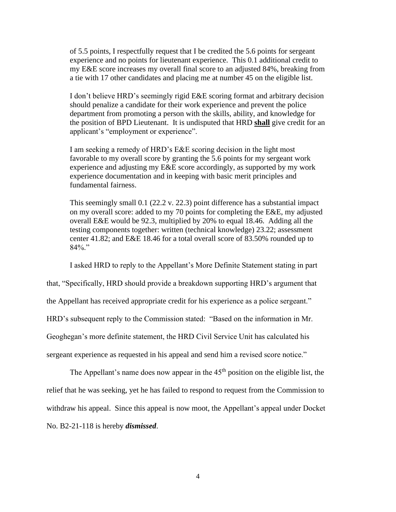of 5.5 points, I respectfully request that I be credited the 5.6 points for sergeant experience and no points for lieutenant experience. This 0.1 additional credit to my E&E score increases my overall final score to an adjusted 84%, breaking from a tie with 17 other candidates and placing me at number 45 on the eligible list.

I don't believe HRD's seemingly rigid E&E scoring format and arbitrary decision should penalize a candidate for their work experience and prevent the police department from promoting a person with the skills, ability, and knowledge for the position of BPD Lieutenant. It is undisputed that HRD **shall** give credit for an applicant's "employment or experience".

I am seeking a remedy of HRD's E&E scoring decision in the light most favorable to my overall score by granting the 5.6 points for my sergeant work experience and adjusting my E&E score accordingly, as supported by my work experience documentation and in keeping with basic merit principles and fundamental fairness.

This seemingly small 0.1 (22.2 v. 22.3) point difference has a substantial impact on my overall score: added to my 70 points for completing the E&E, my adjusted overall E&E would be 92.3, multiplied by 20% to equal 18.46. Adding all the testing components together: written (technical knowledge) 23.22; assessment center 41.82; and E&E 18.46 for a total overall score of 83.50% rounded up to 84%."

I asked HRD to reply to the Appellant's More Definite Statement stating in part

that, "Specifically, HRD should provide a breakdown supporting HRD's argument that

the Appellant has received appropriate credit for his experience as a police sergeant."

HRD's subsequent reply to the Commission stated: "Based on the information in Mr.

Geoghegan's more definite statement, the HRD Civil Service Unit has calculated his

sergeant experience as requested in his appeal and send him a revised score notice."

The Appellant's name does now appear in the  $45<sup>th</sup>$  position on the eligible list, the relief that he was seeking, yet he has failed to respond to request from the Commission to withdraw his appeal. Since this appeal is now moot, the Appellant's appeal under Docket No. B2-21-118 is hereby *dismissed*.